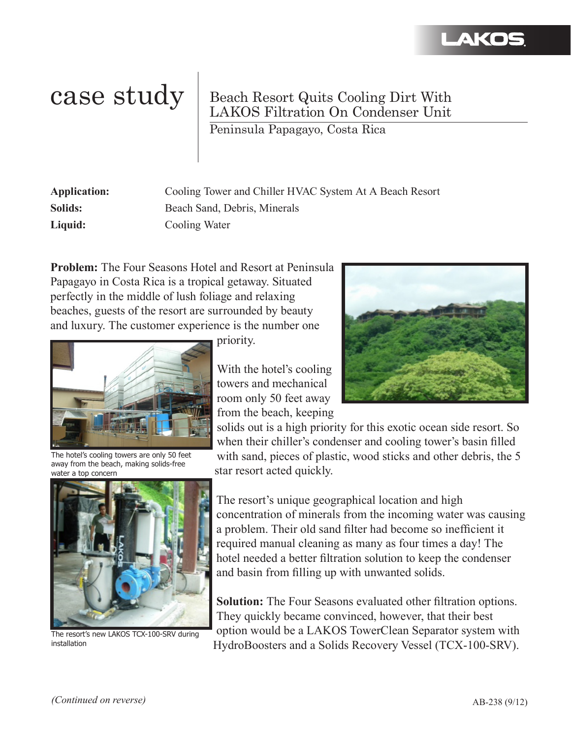

## case study Beach Resort Quits Cooling Dirt With LAKOS Filtration On Condenser Unit

Peninsula Papagayo, Costa Rica

| <b>Application:</b> | Cooling Tower and Chiller HVAC System At A Beach Resort |
|---------------------|---------------------------------------------------------|
| Solids:             | Beach Sand, Debris, Minerals                            |
| Liquid:             | Cooling Water                                           |

**Problem:** The Four Seasons Hotel and Resort at Peninsula Papagayo in Costa Rica is a tropical getaway. Situated perfectly in the middle of lush foliage and relaxing beaches, guests of the resort are surrounded by beauty and luxury. The customer experience is the number one



The hotel's cooling towers are only 50 feet away from the beach, making solids-free water a top concern



The resort's new LAKOS TCX-100-SRV during installation

priority.

With the hotel's cooling towers and mechanical room only 50 feet away from the beach, keeping



solids out is a high priority for this exotic ocean side resort. So when their chiller's condenser and cooling tower's basin filled with sand, pieces of plastic, wood sticks and other debris, the 5 star resort acted quickly.

The resort's unique geographical location and high concentration of minerals from the incoming water was causing a problem. Their old sand filter had become so inefficient it required manual cleaning as many as four times a day! The hotel needed a better filtration solution to keep the condenser and basin from filling up with unwanted solids.

**Solution:** The Four Seasons evaluated other filtration options. They quickly became convinced, however, that their best option would be a LAKOS TowerClean Separator system with HydroBoosters and a Solids Recovery Vessel (TCX-100-SRV).